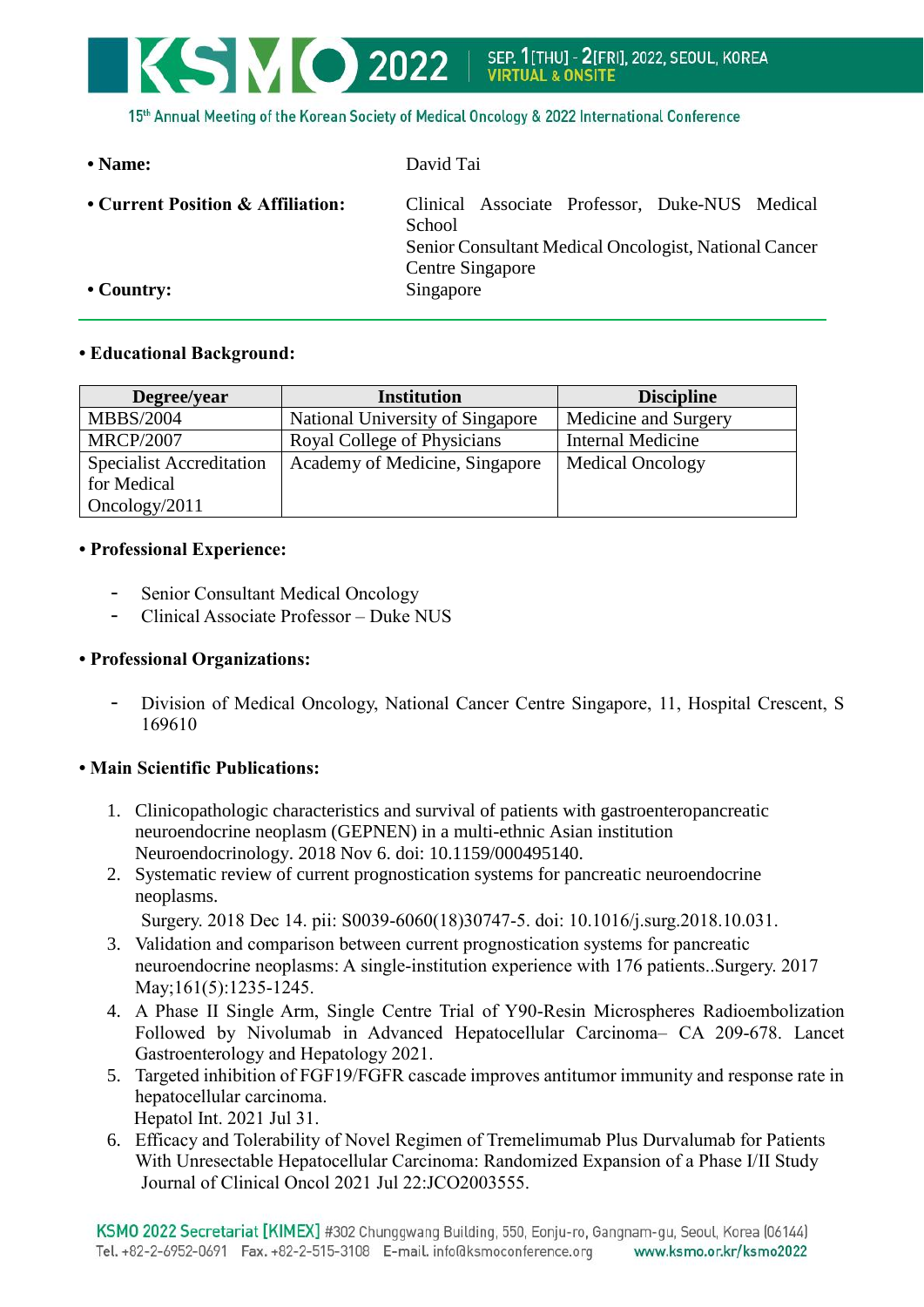

15th Annual Meeting of the Korean Society of Medical Oncology & 2022 International Conference

**• Name:** David Tai **• Current Position & Affiliation:** Clinical Associate Professor, Duke-NUS Medical **School** Senior Consultant Medical Oncologist, National Cancer Centre Singapore • Country: Singapore

## **• Educational Background:**

| Degree/year                     | <b>Institution</b>               | <b>Discipline</b>        |
|---------------------------------|----------------------------------|--------------------------|
| <b>MBBS/2004</b>                | National University of Singapore | Medicine and Surgery     |
| <b>MRCP/2007</b>                | Royal College of Physicians      | <b>Internal Medicine</b> |
| <b>Specialist Accreditation</b> | Academy of Medicine, Singapore   | <b>Medical Oncology</b>  |
| for Medical                     |                                  |                          |
| Oncology/2011                   |                                  |                          |

## **• Professional Experience:**

- Senior Consultant Medical Oncology
- Clinical Associate Professor Duke NUS

## **• Professional Organizations:**

- Division of Medical Oncology, National Cancer Centre Singapore, 11, Hospital Crescent, S 169610

## **• Main Scientific Publications:**

- 1. [Clinicopathologic characteristics and survival of patients with gastroenteropancreatic](https://www.ncbi.nlm.nih.gov/pubmed/30399612)  [neuroendocrine neoplasm \(GEPNEN\) in a multi-ethnic Asian institution](https://www.ncbi.nlm.nih.gov/pubmed/30399612) Neuroendocrinology. 2018 Nov 6. doi: 10.1159/000495140.
- 2. [Systematic review of current prognostication systems for pancreatic neuroendocrine](https://www.ncbi.nlm.nih.gov/pubmed/30558808)  [neoplasms.](https://www.ncbi.nlm.nih.gov/pubmed/30558808)

```
Surgery. 2018 Dec 14. pii: S0039-6060(18)30747-5. doi: 10.1016/j.surg.2018.10.031.
```
- 3. [Validation and comparison between current prognostication systems for pancreatic](https://www.ncbi.nlm.nih.gov/pubmed/28111046)  neuroendocrine neoplasms: A [single-institution experience with 176 patients..](https://www.ncbi.nlm.nih.gov/pubmed/28111046)Surgery. 2017 May;161(5):1235-1245.
- 4. A Phase II Single Arm, Single Centre Trial of Y90-Resin Microspheres Radioembolization Followed by Nivolumab in Advanced Hepatocellular Carcinoma– CA 209-678. Lancet Gastroenterology and Hepatology 2021.
- 5. [Targeted inhibition of FGF19/FGFR cascade improves antitumor immunity and response rate in](https://pubmed.ncbi.nlm.nih.gov/34333737/)  [hepatocellular carcinoma.](https://pubmed.ncbi.nlm.nih.gov/34333737/) Hepatol Int. 2021 Jul 31.
- 6. Efficacy and Tolerability of Novel Regimen of Tremelimumab Plus Durvalumab for Patients With Unresectable Hepatocellular Carcinoma: Randomized Expansion of a Phase I/II Study Journal of Clinical Oncol 2021 Jul 22:JCO2003555.